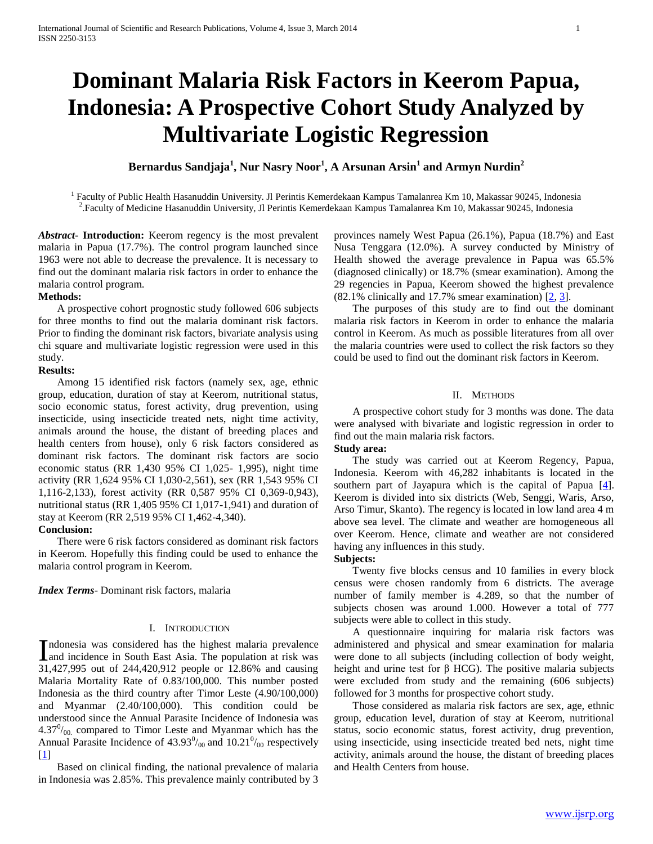# **Dominant Malaria Risk Factors in Keerom Papua, Indonesia: A Prospective Cohort Study Analyzed by Multivariate Logistic Regression**

**Bernardus Sandjaja<sup>1</sup> , Nur Nasry Noor<sup>1</sup> , A Arsunan Arsin<sup>1</sup> and Armyn Nurdin<sup>2</sup>**

<sup>1</sup> Faculty of Public Health Hasanuddin University. Jl Perintis Kemerdekaan Kampus Tamalanrea Km 10, Makassar 90245, Indonesia 2 .Faculty of Medicine Hasanuddin University, Jl Perintis Kemerdekaan Kampus Tamalanrea Km 10, Makassar 90245, Indonesia

*Abstract***- Introduction:** Keerom regency is the most prevalent malaria in Papua (17.7%). The control program launched since 1963 were not able to decrease the prevalence. It is necessary to find out the dominant malaria risk factors in order to enhance the malaria control program.

### **Methods:**

 A prospective cohort prognostic study followed 606 subjects for three months to find out the malaria dominant risk factors. Prior to finding the dominant risk factors, bivariate analysis using chi square and multivariate logistic regression were used in this study.

#### **Results:**

 Among 15 identified risk factors (namely sex, age, ethnic group, education, duration of stay at Keerom, nutritional status, socio economic status, forest activity, drug prevention, using insecticide, using insecticide treated nets, night time activity, animals around the house, the distant of breeding places and health centers from house), only 6 risk factors considered as dominant risk factors. The dominant risk factors are socio economic status (RR 1,430 95% CI 1,025- 1,995), night time activity (RR 1,624 95% CI 1,030-2,561), sex (RR 1,543 95% CI 1,116-2,133), forest activity (RR 0,587 95% CI 0,369-0,943), nutritional status (RR 1,405 95% CI 1,017-1,941) and duration of stay at Keerom (RR 2,519 95% CI 1,462-4,340).

### **Conclusion:**

 There were 6 risk factors considered as dominant risk factors in Keerom. Hopefully this finding could be used to enhance the malaria control program in Keerom.

*Index Terms*- Dominant risk factors, malaria

# I. INTRODUCTION

ndonesia was considered has the highest malaria prevalence Indonesia was considered has the highest malaria prevalence<br>and incidence in South East Asia. The population at risk was 31,427,995 out of 244,420,912 people or 12.86% and causing Malaria Mortality Rate of 0.83/100,000. This number posted Indonesia as the third country after Timor Leste (4.90/100,000) and Myanmar (2.40/100,000). This condition could be understood since the Annual Parasite Incidence of Indonesia was  $4.37<sup>0</sup>/_{00}$  compared to Timor Leste and Myanmar which has the Annual Parasite Incidence of  $43.93\%$  and  $10.21\%$  respectively [1]

 Based on clinical finding, the national prevalence of malaria in Indonesia was 2.85%. This prevalence mainly contributed by 3 provinces namely West Papua (26.1%), Papua (18.7%) and East Nusa Tenggara (12.0%). A survey conducted by Ministry of Health showed the average prevalence in Papua was 65.5% (diagnosed clinically) or 18.7% (smear examination). Among the 29 regencies in Papua, Keerom showed the highest prevalence  $(82.1\%$  clinically and 17.7% smear examination)  $[2, 3]$ .

 The purposes of this study are to find out the dominant malaria risk factors in Keerom in order to enhance the malaria control in Keerom. As much as possible literatures from all over the malaria countries were used to collect the risk factors so they could be used to find out the dominant risk factors in Keerom.

# II. METHODS

 A prospective cohort study for 3 months was done. The data were analysed with bivariate and logistic regression in order to find out the main malaria risk factors.

### **Study area:**

 The study was carried out at Keerom Regency, Papua, Indonesia. Keerom with 46,282 inhabitants is located in the southern part of Jayapura which is the capital of Papua  $[4]$ . Keerom is divided into six districts (Web, Senggi, Waris, Arso, Arso Timur, Skanto). The regency is located in low land area 4 m above sea level. The climate and weather are homogeneous all over Keerom. Hence, climate and weather are not considered having any influences in this study.

#### **Subjects:**

 Twenty five blocks census and 10 families in every block census were chosen randomly from 6 districts. The average number of family member is 4.289, so that the number of subjects chosen was around 1.000. However a total of 777 subjects were able to collect in this study.

 A questionnaire inquiring for malaria risk factors was administered and physical and smear examination for malaria were done to all subjects (including collection of body weight, height and urine test for β HCG). The positive malaria subjects were excluded from study and the remaining (606 subjects) followed for 3 months for prospective cohort study.

 Those considered as malaria risk factors are sex, age, ethnic group, education level, duration of stay at Keerom, nutritional status, socio economic status, forest activity, drug prevention, using insecticide, using insecticide treated bed nets, night time activity, animals around the house, the distant of breeding places and Health Centers from house.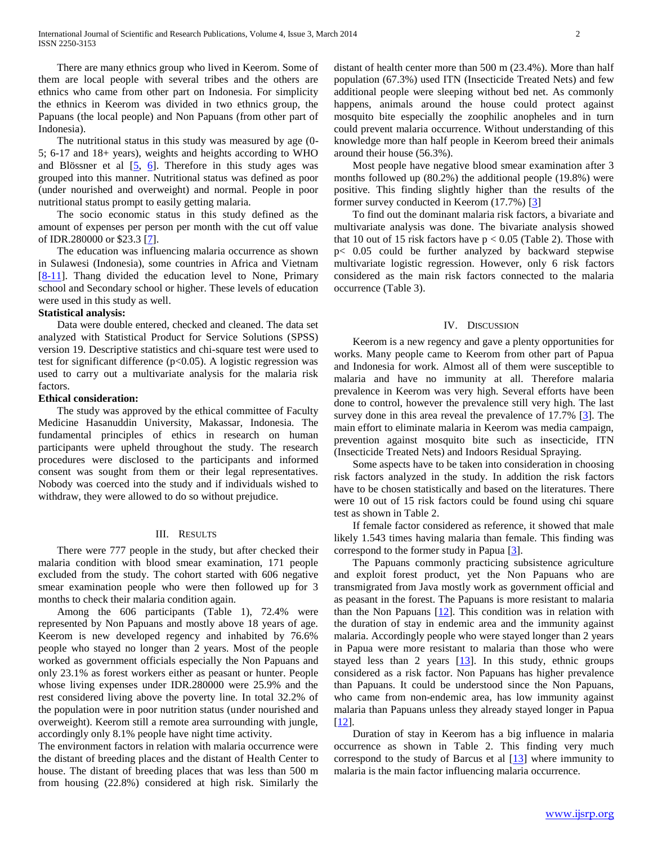There are many ethnics group who lived in Keerom. Some of them are local people with several tribes and the others are ethnics who came from other part on Indonesia. For simplicity the ethnics in Keerom was divided in two ethnics group, the Papuans (the local people) and Non Papuans (from other part of Indonesia).

 The nutritional status in this study was measured by age (0- 5; 6-17 and 18+ years), weights and heights according to WHO and Blössner et al [5, 6]. Therefore in this study ages was grouped into this manner. Nutritional status was defined as poor (under nourished and overweight) and normal. People in poor nutritional status prompt to easily getting malaria.

 The socio economic status in this study defined as the amount of expenses per person per month with the cut off value of IDR.280000 or \$23.3 [7].

 The education was influencing malaria occurrence as shown in Sulawesi (Indonesia), some countries in Africa and Vietnam [8-11]. Thang divided the education level to None, Primary school and Secondary school or higher. These levels of education were used in this study as well.

#### **Statistical analysis:**

 Data were double entered, checked and cleaned. The data set analyzed with Statistical Product for Service Solutions (SPSS) version 19. Descriptive statistics and chi-square test were used to test for significant difference ( $p<0.05$ ). A logistic regression was used to carry out a multivariate analysis for the malaria risk factors.

#### **Ethical consideration:**

 The study was approved by the ethical committee of Faculty Medicine Hasanuddin University, Makassar, Indonesia. The fundamental principles of ethics in research on human participants were upheld throughout the study. The research procedures were disclosed to the participants and informed consent was sought from them or their legal representatives. Nobody was coerced into the study and if individuals wished to withdraw, they were allowed to do so without prejudice.

#### III. RESULTS

 There were 777 people in the study, but after checked their malaria condition with blood smear examination, 171 people excluded from the study. The cohort started with 606 negative smear examination people who were then followed up for 3 months to check their malaria condition again.

 Among the 606 participants (Table 1), 72.4% were represented by Non Papuans and mostly above 18 years of age. Keerom is new developed regency and inhabited by 76.6% people who stayed no longer than 2 years. Most of the people worked as government officials especially the Non Papuans and only 23.1% as forest workers either as peasant or hunter. People whose living expenses under IDR.280000 were 25.9% and the rest considered living above the poverty line. In total 32.2% of the population were in poor nutrition status (under nourished and overweight). Keerom still a remote area surrounding with jungle, accordingly only 8.1% people have night time activity.

The environment factors in relation with malaria occurrence were the distant of breeding places and the distant of Health Center to house. The distant of breeding places that was less than 500 m from housing (22.8%) considered at high risk. Similarly the

distant of health center more than 500 m (23.4%). More than half population (67.3%) used ITN (Insecticide Treated Nets) and few additional people were sleeping without bed net. As commonly happens, animals around the house could protect against mosquito bite especially the zoophilic anopheles and in turn could prevent malaria occurrence. Without understanding of this knowledge more than half people in Keerom breed their animals around their house (56.3%).

 Most people have negative blood smear examination after 3 months followed up (80.2%) the additional people (19.8%) were positive. This finding slightly higher than the results of the former survey conducted in Keerom (17.7%) [3]

 To find out the dominant malaria risk factors, a bivariate and multivariate analysis was done. The bivariate analysis showed that 10 out of 15 risk factors have  $p < 0.05$  (Table 2). Those with p< 0.05 could be further analyzed by backward stepwise multivariate logistic regression. However, only 6 risk factors considered as the main risk factors connected to the malaria occurrence (Table 3).

#### IV. DISCUSSION

 Keerom is a new regency and gave a plenty opportunities for works. Many people came to Keerom from other part of Papua and Indonesia for work. Almost all of them were susceptible to malaria and have no immunity at all. Therefore malaria prevalence in Keerom was very high. Several efforts have been done to control, however the prevalence still very high. The last survey done in this area reveal the prevalence of 17.7% [3]. The main effort to eliminate malaria in Keerom was media campaign, prevention against mosquito bite such as insecticide, ITN (Insecticide Treated Nets) and Indoors Residual Spraying.

 Some aspects have to be taken into consideration in choosing risk factors analyzed in the study. In addition the risk factors have to be chosen statistically and based on the literatures. There were 10 out of 15 risk factors could be found using chi square test as shown in Table 2.

 If female factor considered as reference, it showed that male likely 1.543 times having malaria than female. This finding was correspond to the former study in Papua [3].

 The Papuans commonly practicing subsistence agriculture and exploit forest product, yet the Non Papuans who are transmigrated from Java mostly work as government official and as peasant in the forest. The Papuans is more resistant to malaria than the Non Papuans [12]. This condition was in relation with the duration of stay in endemic area and the immunity against malaria. Accordingly people who were stayed longer than 2 years in Papua were more resistant to malaria than those who were stayed less than 2 years  $[13]$ . In this study, ethnic groups considered as a risk factor. Non Papuans has higher prevalence than Papuans. It could be understood since the Non Papuans, who came from non-endemic area, has low immunity against malaria than Papuans unless they already stayed longer in Papua [12].

 Duration of stay in Keerom has a big influence in malaria occurrence as shown in Table 2. This finding very much correspond to the study of Barcus et al [13] where immunity to malaria is the main factor influencing malaria occurrence.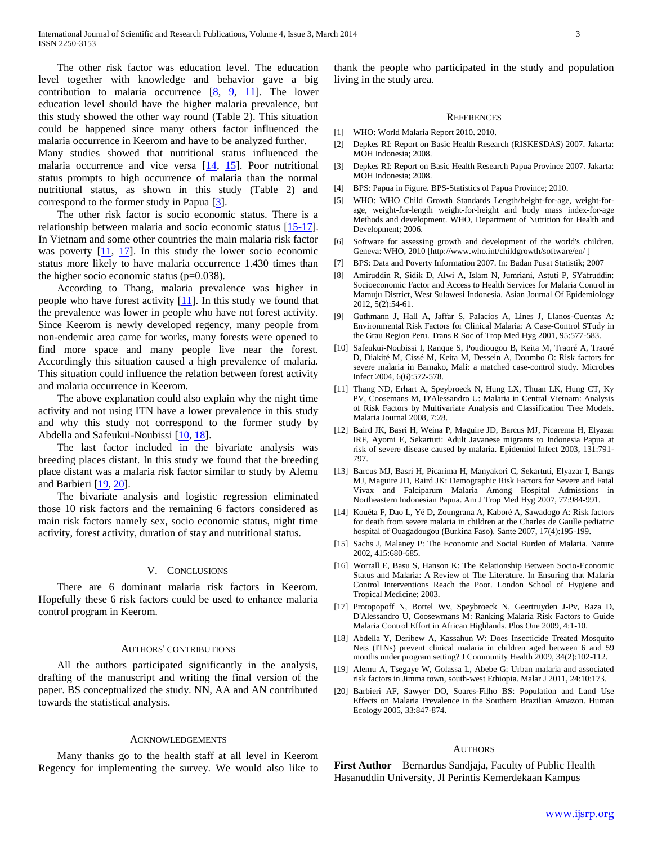The other risk factor was education level. The education level together with knowledge and behavior gave a big contribution to malaria occurrence [8, 9, 11]. The lower education level should have the higher malaria prevalence, but this study showed the other way round (Table 2). This situation could be happened since many others factor influenced the malaria occurrence in Keerom and have to be analyzed further.

Many studies showed that nutritional status influenced the malaria occurrence and vice versa [14, 15]. Poor nutritional status prompts to high occurrence of malaria than the normal nutritional status, as shown in this study (Table 2) and correspond to the former study in Papua [3].

 The other risk factor is socio economic status. There is a relationship between malaria and socio economic status [15-17]. In Vietnam and some other countries the main malaria risk factor was poverty  $[11, 17]$ . In this study the lower socio economic status more likely to have malaria occurrence 1.430 times than the higher socio economic status (p=0.038).

 According to Thang, malaria prevalence was higher in people who have forest activity [11]. In this study we found that the prevalence was lower in people who have not forest activity. Since Keerom is newly developed regency, many people from non-endemic area came for works, many forests were opened to find more space and many people live near the forest. Accordingly this situation caused a high prevalence of malaria. This situation could influence the relation between forest activity and malaria occurrence in Keerom.

 The above explanation could also explain why the night time activity and not using ITN have a lower prevalence in this study and why this study not correspond to the former study by Abdella and Safeukui-Noubissi [10, 18].

 The last factor included in the bivariate analysis was breeding places distant. In this study we found that the breeding place distant was a malaria risk factor similar to study by Alemu and Barbieri [19, 20].

 The bivariate analysis and logistic regression eliminated those 10 risk factors and the remaining 6 factors considered as main risk factors namely sex, socio economic status, night time activity, forest activity, duration of stay and nutritional status.

#### V. CONCLUSIONS

 There are 6 dominant malaria risk factors in Keerom. Hopefully these 6 risk factors could be used to enhance malaria control program in Keerom.

#### AUTHORS' CONTRIBUTIONS

 All the authors participated significantly in the analysis, drafting of the manuscript and writing the final version of the paper. BS conceptualized the study. NN, AA and AN contributed towards the statistical analysis.

#### ACKNOWLEDGEMENTS

 Many thanks go to the health staff at all level in Keerom Regency for implementing the survey. We would also like to thank the people who participated in the study and population living in the study area.

#### **REFERENCES**

- [1] WHO: World Malaria Report 2010. 2010.
- [2] Depkes RI: Report on Basic Health Research (RISKESDAS) 2007. Jakarta: MOH Indonesia; 2008.
- [3] Depkes RI: Report on Basic Health Research Papua Province 2007. Jakarta: MOH Indonesia; 2008.
- [4] BPS: Papua in Figure. BPS-Statistics of Papua Province; 2010.
- [5] WHO: WHO Child Growth Standards Length/height-for-age, weight-forage, weight-for-length weight-for-height and body mass index-for-age Methods and development. WHO, Department of Nutrition for Health and Development; 2006.
- [6] Software for assessing growth and development of the world's children. Geneva: WHO, 2010 [http://www.who.int/childgrowth/software/en/ ]
- [7] BPS: Data and Poverty Information 2007. In: Badan Pusat Statistik; 2007
- [8] Amiruddin R, Sidik D, Alwi A, Islam N, Jumriani, Astuti P, SYafruddin: Socioeconomic Factor and Access to Health Services for Malaria Control in Mamuju District, West Sulawesi Indonesia. Asian Journal Of Epidemiology 2012, 5(2):54-61.
- [9] Guthmann J, Hall A, Jaffar S, Palacios A, Lines J, Llanos-Cuentas A: Environmental Risk Factors for Clinical Malaria: A Case-Control STudy in the Grau Region Peru. Trans R Soc of Trop Med Hyg 2001, 95:577-583.
- [10] Safeukui-Noubissi I, Ranque S, Poudiougou B, Keita M, Traoré A, Traoré D, Diakité M, Cissé M, Keita M, Dessein A, Doumbo O: Risk factors for severe malaria in Bamako, Mali: a matched case-control study. Microbes Infect 2004, 6(6):572-578.
- [11] Thang ND, Erhart A, Speybroeck N, Hung LX, Thuan LK, Hung CT, Ky PV, Coosemans M, D'Alessandro U: Malaria in Central Vietnam: Analysis of Risk Factors by Multivariate Analysis and Classification Tree Models. Malaria Journal 2008, 7:28.
- [12] Baird JK, Basri H, Weina P, Maguire JD, Barcus MJ, Picarema H, Elyazar IRF, Ayomi E, Sekartuti: Adult Javanese migrants to Indonesia Papua at risk of severe disease caused by malaria. Epidemiol Infect 2003, 131:791- 797.
- [13] Barcus MJ, Basri H, Picarima H, Manyakori C, Sekartuti, Elyazar I, Bangs MJ, Maguire JD, Baird JK: Demographic Risk Factors for Severe and Fatal Vivax and Falciparum Malaria Among Hospital Admissions in Northeastern Indonesian Papua. Am J Trop Med Hyg 2007, 77:984-991.
- [14] Kouéta F, Dao L, Yé D, Zoungrana A, Kaboré A, Sawadogo A: Risk factors for death from severe malaria in children at the Charles de Gaulle pediatric hospital of Ouagadougou (Burkina Faso). Sante 2007, 17(4):195-199.
- [15] Sachs J, Malaney P: The Economic and Social Burden of Malaria. Nature 2002, 415:680-685.
- [16] Worrall E, Basu S, Hanson K: The Relationship Between Socio-Economic Status and Malaria: A Review of The Literature. In Ensuring that Malaria Control Interventions Reach the Poor. London School of Hygiene and Tropical Medicine; 2003.
- [17] Protopopoff N, Bortel Wv, Speybroeck N, Geertruyden J-Pv, Baza D, D'Alessandro U, Coosewmans M: Ranking Malaria Risk Factors to Guide Malaria Control Effort in African Highlands. Plos One 2009, 4:1-10.
- [18] Abdella Y, Deribew A, Kassahun W: Does Insecticide Treated Mosquito Nets (ITNs) prevent clinical malaria in children aged between 6 and 59 months under program setting? J Community Health 2009, 34(2):102-112.
- [19] Alemu A, Tsegaye W, Golassa L, Abebe G: Urban malaria and associated risk factors in Jimma town, south-west Ethiopia. Malar J 2011, 24:10:173.
- [20] Barbieri AF, Sawyer DO, Soares-Filho BS: Population and Land Use Effects on Malaria Prevalence in the Southern Brazilian Amazon. Human Ecology 2005, 33:847-874.

#### AUTHORS

**First Author** – Bernardus Sandjaja, Faculty of Public Health Hasanuddin University. Jl Perintis Kemerdekaan Kampus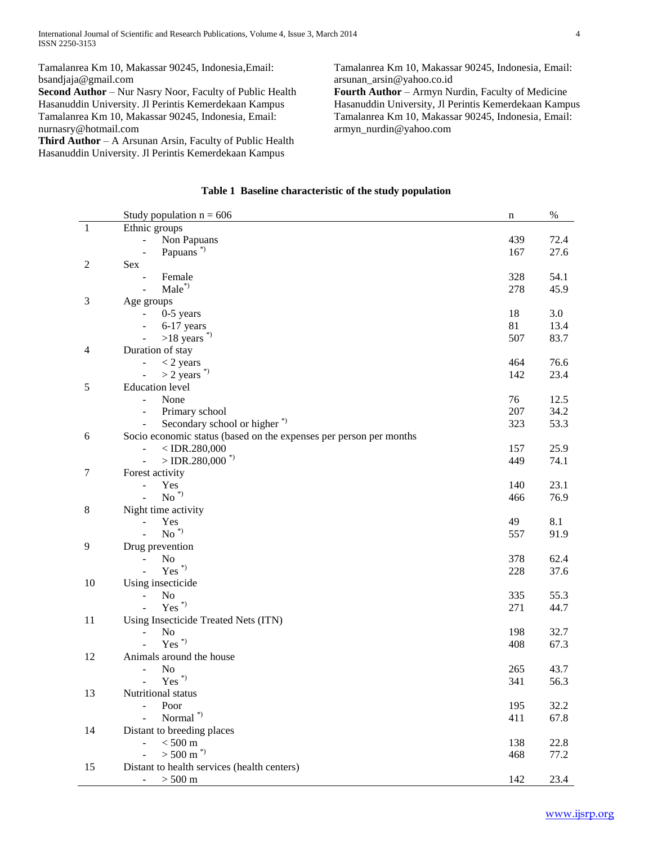Tamalanrea Km 10, Makassar 90245, Indonesia,Email: bsandjaja@gmail.com

**Second Author** – Nur Nasry Noor, Faculty of Public Health Hasanuddin University. Jl Perintis Kemerdekaan Kampus Tamalanrea Km 10, Makassar 90245, Indonesia, Email: nurnasry@hotmail.com

**Third Author** – A Arsunan Arsin, Faculty of Public Health Hasanuddin University. Jl Perintis Kemerdekaan Kampus

Tamalanrea Km 10, Makassar 90245, Indonesia, Email: arsunan\_arsin@yahoo.co.id

**Fourth Author** – Armyn Nurdin, Faculty of Medicine Hasanuddin University, Jl Perintis Kemerdekaan Kampus Tamalanrea Km 10, Makassar 90245, Indonesia, Email: armyn\_nurdin@yahoo.com

|              | Study population $n = 606$                                         | n   | $\%$ |
|--------------|--------------------------------------------------------------------|-----|------|
| $\mathbf{1}$ | Ethnic groups                                                      |     |      |
|              | Non Papuans<br>÷,                                                  | 439 | 72.4 |
|              | Papuans <sup>*</sup>                                               | 167 | 27.6 |
| 2            | Sex                                                                |     |      |
|              | Female                                                             | 328 | 54.1 |
|              | $Male^*$                                                           | 278 | 45.9 |
| 3            | Age groups                                                         |     |      |
|              | $0-5$ years<br>$\frac{1}{2}$                                       | 18  | 3.0  |
|              | 6-17 years<br>$\overline{\phantom{a}}$                             | 81  | 13.4 |
|              | $>18$ years <sup>*</sup>                                           | 507 | 83.7 |
| 4            | Duration of stay                                                   |     |      |
|              | $<$ 2 years                                                        | 464 | 76.6 |
|              | $>$ 2 years $\degree$<br>$\blacksquare$                            | 142 | 23.4 |
| 5            | <b>Education</b> level                                             |     |      |
|              | None<br>$\blacksquare$                                             | 76  | 12.5 |
|              | Primary school<br>$\overline{\phantom{a}}$                         | 207 | 34.2 |
|              | Secondary school or higher <sup>*</sup>                            | 323 | 53.3 |
| 6            | Socio economic status (based on the expenses per person per months |     |      |
|              | $<$ IDR.280,000                                                    | 157 | 25.9 |
|              | $>$ IDR.280,000 <sup>*</sup><br>$\blacksquare$                     | 449 | 74.1 |
| $\tau$       | Forest activity                                                    |     |      |
|              | Yes                                                                | 140 | 23.1 |
|              | $\mbox{No}$ $^*)$                                                  | 466 | 76.9 |
| $\,8\,$      | Night time activity                                                |     |      |
|              | Yes                                                                | 49  | 8.1  |
|              | $No^*$<br>$\overline{a}$                                           | 557 | 91.9 |
| 9            | Drug prevention                                                    |     |      |
|              | No                                                                 | 378 | 62.4 |
|              | $Yes^*$                                                            | 228 | 37.6 |
| 10           | Using insecticide                                                  |     |      |
|              | No<br>$\blacksquare$                                               | 335 | 55.3 |
|              | $\mathrm{Yes}^{(*)}$                                               | 271 | 44.7 |
| 11           | Using Insecticide Treated Nets (ITN)                               |     |      |
|              | No<br>$\blacksquare$                                               | 198 | 32.7 |
|              | $\mathrm{Yes}$ $^*)$                                               | 408 | 67.3 |
| 12           | Animals around the house                                           |     |      |
|              | N <sub>0</sub>                                                     | 265 | 43.7 |
|              | $\mathrm{Yes}$ $^{*})$<br>$\blacksquare$                           | 341 | 56.3 |
| 13           | Nutritional status                                                 |     |      |
|              | Poor                                                               | 195 | 32.2 |
|              | Normal <sup>*</sup><br>$\overline{a}$                              | 411 | 67.8 |
| 14           | Distant to breeding places                                         |     |      |
|              | $< 500~\mathrm{m}$<br>L.                                           | 138 | 22.8 |
|              | $> 500$ m $^{*}$<br>$\overline{a}$                                 | 468 | 77.2 |
| 15           | Distant to health services (health centers)                        |     |      |
|              | $> 500 \text{ m}$<br>$\overline{\phantom{a}}$                      | 142 | 23.4 |
|              |                                                                    |     |      |

# **Table 1 Baseline characteristic of the study population**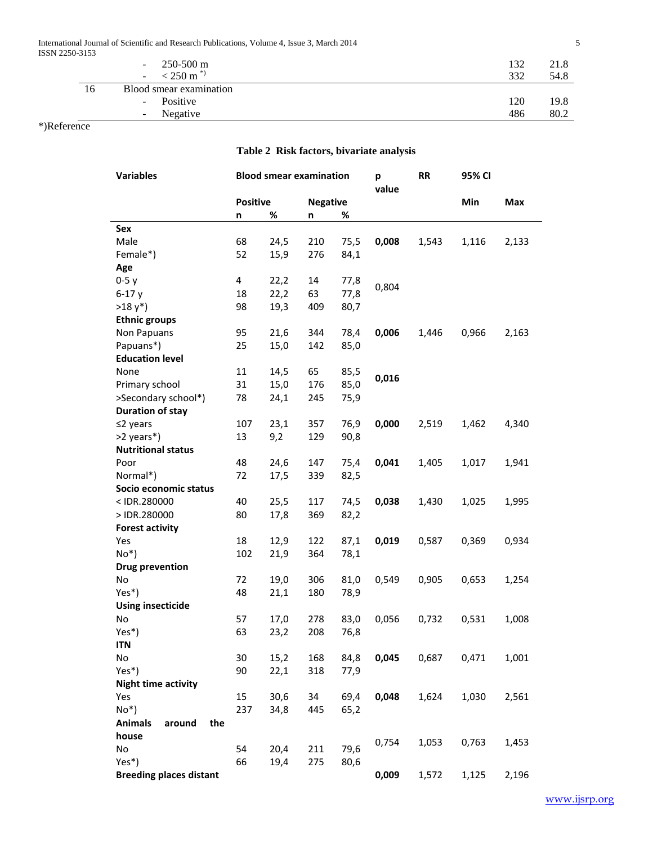International Journal of Scientific and Research Publications, Volume 4, Issue 3, March 2014 5 ISSN 2250-3153

| 311 22JU-31JJ |    |                                      |     |      |
|---------------|----|--------------------------------------|-----|------|
|               |    | $250-500$ m<br>$\sim$ 10 $\pm$       | 132 | 21.8 |
|               |    | $<$ 250 m <sup>*</sup><br>$\sim$ $-$ | 332 | 54.8 |
|               | 16 | Blood smear examination              |     |      |
|               |    | Positive<br>$\sim$                   | 120 | 19.8 |
|               |    | Negative<br>$\sim$                   | 486 | 80.2 |

\*)Reference

# **Table 2 Risk factors, bivariate analysis**

| value<br>Min<br><b>Positive</b><br><b>Negative</b><br>Max<br>%<br>%<br>n<br>n<br>Sex<br>Male<br>68<br>210<br>24,5<br>75,5<br>0,008<br>1,543<br>1,116<br>2,133<br>Female*)<br>52<br>15,9<br>276<br>84,1<br>Age<br>$0-5y$<br>4<br>22,2<br>14<br>77,8<br>0,804<br>63<br>$6-17y$<br>18<br>22,2<br>77,8<br>$>18 y^*$ )<br>98<br>19,3<br>409<br>80,7<br><b>Ethnic groups</b><br>95<br>0,006<br>0,966<br>Non Papuans<br>21,6<br>344<br>78,4<br>1,446<br>2,163<br>Papuans*)<br>25<br>15,0<br>142<br>85,0<br><b>Education level</b><br>11<br>14,5<br>65<br>85,5<br>None<br>0,016<br>Primary school<br>31<br>15,0<br>176<br>85,0<br>>Secondary school*)<br>24,1<br>245<br>78<br>75,9<br><b>Duration of stay</b> |
|-------------------------------------------------------------------------------------------------------------------------------------------------------------------------------------------------------------------------------------------------------------------------------------------------------------------------------------------------------------------------------------------------------------------------------------------------------------------------------------------------------------------------------------------------------------------------------------------------------------------------------------------------------------------------------------------------------|
|                                                                                                                                                                                                                                                                                                                                                                                                                                                                                                                                                                                                                                                                                                       |
|                                                                                                                                                                                                                                                                                                                                                                                                                                                                                                                                                                                                                                                                                                       |
|                                                                                                                                                                                                                                                                                                                                                                                                                                                                                                                                                                                                                                                                                                       |
|                                                                                                                                                                                                                                                                                                                                                                                                                                                                                                                                                                                                                                                                                                       |
|                                                                                                                                                                                                                                                                                                                                                                                                                                                                                                                                                                                                                                                                                                       |
|                                                                                                                                                                                                                                                                                                                                                                                                                                                                                                                                                                                                                                                                                                       |
|                                                                                                                                                                                                                                                                                                                                                                                                                                                                                                                                                                                                                                                                                                       |
|                                                                                                                                                                                                                                                                                                                                                                                                                                                                                                                                                                                                                                                                                                       |
|                                                                                                                                                                                                                                                                                                                                                                                                                                                                                                                                                                                                                                                                                                       |
|                                                                                                                                                                                                                                                                                                                                                                                                                                                                                                                                                                                                                                                                                                       |
|                                                                                                                                                                                                                                                                                                                                                                                                                                                                                                                                                                                                                                                                                                       |
|                                                                                                                                                                                                                                                                                                                                                                                                                                                                                                                                                                                                                                                                                                       |
|                                                                                                                                                                                                                                                                                                                                                                                                                                                                                                                                                                                                                                                                                                       |
|                                                                                                                                                                                                                                                                                                                                                                                                                                                                                                                                                                                                                                                                                                       |
|                                                                                                                                                                                                                                                                                                                                                                                                                                                                                                                                                                                                                                                                                                       |
|                                                                                                                                                                                                                                                                                                                                                                                                                                                                                                                                                                                                                                                                                                       |
|                                                                                                                                                                                                                                                                                                                                                                                                                                                                                                                                                                                                                                                                                                       |
| $≤2$ years<br>357<br>76,9<br>0,000<br>2,519<br>1,462<br>4,340<br>107<br>23,1                                                                                                                                                                                                                                                                                                                                                                                                                                                                                                                                                                                                                          |
| >2 years*)<br>13<br>129<br>90,8<br>9,2                                                                                                                                                                                                                                                                                                                                                                                                                                                                                                                                                                                                                                                                |
| <b>Nutritional status</b>                                                                                                                                                                                                                                                                                                                                                                                                                                                                                                                                                                                                                                                                             |
| 48<br>147<br>0,041<br>1,941<br>Poor<br>24,6<br>75,4<br>1,405<br>1,017                                                                                                                                                                                                                                                                                                                                                                                                                                                                                                                                                                                                                                 |
| Normal*)<br>72<br>17,5<br>339<br>82,5                                                                                                                                                                                                                                                                                                                                                                                                                                                                                                                                                                                                                                                                 |
| Socio economic status                                                                                                                                                                                                                                                                                                                                                                                                                                                                                                                                                                                                                                                                                 |
| 40<br>25,5<br>117<br>74,5<br>0,038<br><1DR.280000<br>1,430<br>1,025<br>1,995                                                                                                                                                                                                                                                                                                                                                                                                                                                                                                                                                                                                                          |
| >IDR.280000<br>80<br>17,8<br>369<br>82,2                                                                                                                                                                                                                                                                                                                                                                                                                                                                                                                                                                                                                                                              |
| <b>Forest activity</b>                                                                                                                                                                                                                                                                                                                                                                                                                                                                                                                                                                                                                                                                                |
| Yes<br>18<br>12,9<br>122<br>87,1<br>0,019<br>0,587<br>0,369<br>0,934                                                                                                                                                                                                                                                                                                                                                                                                                                                                                                                                                                                                                                  |
| $No^*$<br>364<br>78,1<br>102<br>21,9                                                                                                                                                                                                                                                                                                                                                                                                                                                                                                                                                                                                                                                                  |
| <b>Drug prevention</b>                                                                                                                                                                                                                                                                                                                                                                                                                                                                                                                                                                                                                                                                                |
| No<br>72<br>19,0<br>306<br>81,0<br>0,905<br>1,254<br>0,549<br>0,653<br>$Yes*$<br>48<br>180                                                                                                                                                                                                                                                                                                                                                                                                                                                                                                                                                                                                            |
| 21,1<br>78,9<br><b>Using insecticide</b>                                                                                                                                                                                                                                                                                                                                                                                                                                                                                                                                                                                                                                                              |
| No<br>57<br>17,0<br>278<br>0,056<br>0,732<br>0,531<br>1,008<br>83,0                                                                                                                                                                                                                                                                                                                                                                                                                                                                                                                                                                                                                                   |
| Yes*)<br>63<br>23,2<br>208<br>76,8                                                                                                                                                                                                                                                                                                                                                                                                                                                                                                                                                                                                                                                                    |
| <b>ITN</b>                                                                                                                                                                                                                                                                                                                                                                                                                                                                                                                                                                                                                                                                                            |
| No<br>30<br>15,2<br>168<br>84,8<br>0,045<br>0,687<br>0,471<br>1,001                                                                                                                                                                                                                                                                                                                                                                                                                                                                                                                                                                                                                                   |
| Yes*)<br>318<br>90<br>22,1<br>77,9                                                                                                                                                                                                                                                                                                                                                                                                                                                                                                                                                                                                                                                                    |
| <b>Night time activity</b>                                                                                                                                                                                                                                                                                                                                                                                                                                                                                                                                                                                                                                                                            |
| Yes<br>15<br>30,6<br>34<br>69,4<br>0,048<br>1,624<br>1,030<br>2,561                                                                                                                                                                                                                                                                                                                                                                                                                                                                                                                                                                                                                                   |
| $No*$<br>237<br>34,8<br>445<br>65,2                                                                                                                                                                                                                                                                                                                                                                                                                                                                                                                                                                                                                                                                   |
| <b>Animals</b><br>around<br>the                                                                                                                                                                                                                                                                                                                                                                                                                                                                                                                                                                                                                                                                       |
| house                                                                                                                                                                                                                                                                                                                                                                                                                                                                                                                                                                                                                                                                                                 |
| 0,763<br>1,453<br>0,754<br>1,053<br>No<br>211<br>79,6<br>54<br>20,4                                                                                                                                                                                                                                                                                                                                                                                                                                                                                                                                                                                                                                   |
| Yes*)<br>275<br>66<br>19,4<br>80,6                                                                                                                                                                                                                                                                                                                                                                                                                                                                                                                                                                                                                                                                    |
| <b>Breeding places distant</b><br>0,009<br>2,196<br>1,572<br>1,125                                                                                                                                                                                                                                                                                                                                                                                                                                                                                                                                                                                                                                    |